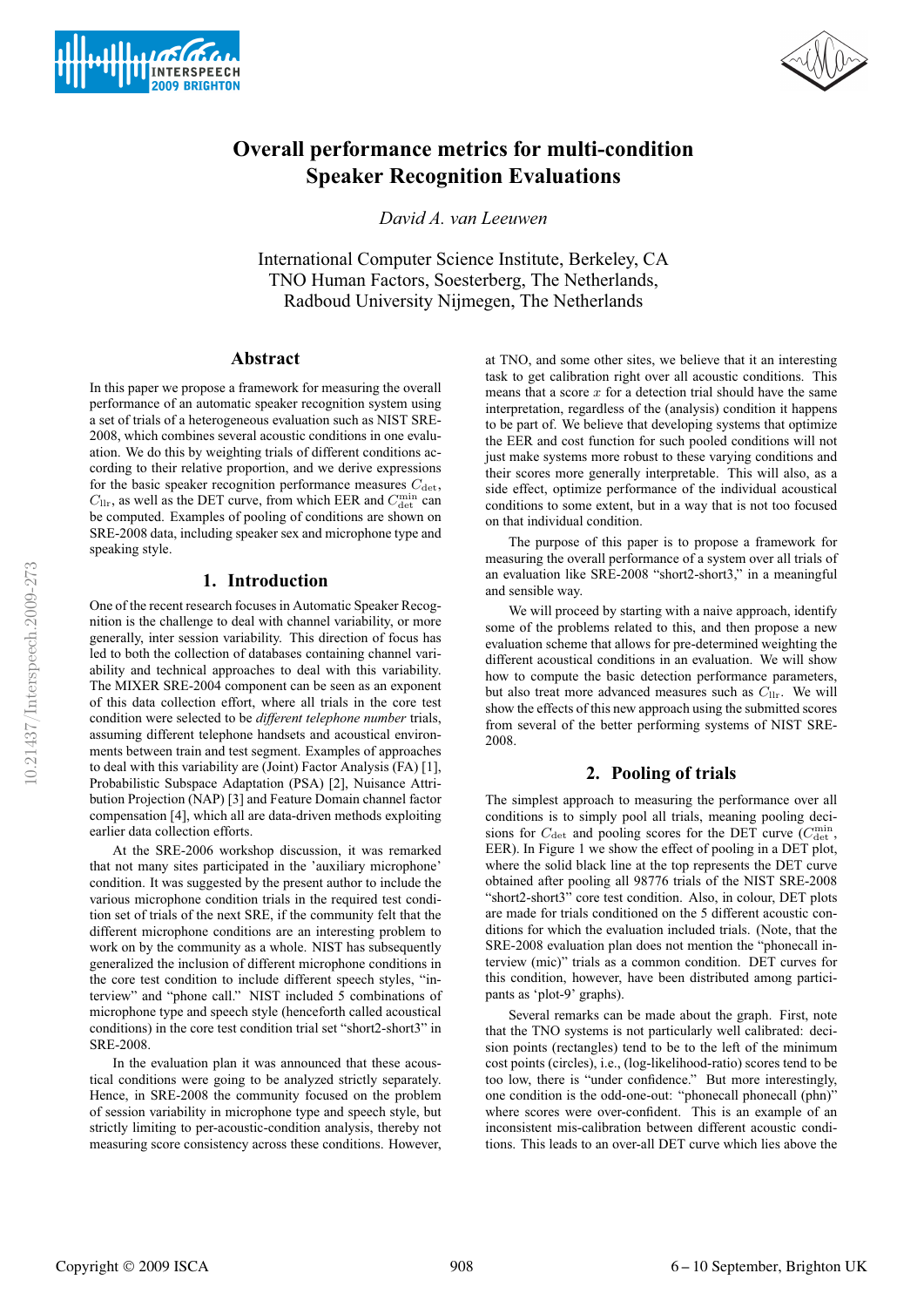



# **Overall performance metrics for multi-condition Speaker Recognition Evaluations**

*David A. van Leeuwen*

International Computer Science Institute, Berkeley, CA TNO Human Factors, Soesterberg, The Netherlands, Radboud University Nijmegen, The Netherlands

# **Abstract**

In this paper we propose a framework for measuring the overall performance of an automatic speaker recognition system using a set of trials of a heterogeneous evaluation such as NIST SRE-2008, which combines several acoustic conditions in one evaluation. We do this by weighting trials of different conditions according to their relative proportion, and we derive expressions for the basic speaker recognition performance measures  $C_{\text{det}}$ ,  $C_{\text{llr}}$ , as well as the DET curve, from which EER and  $C_{\text{det}}^{\text{min}}$  can be computed. Examples of pooling of conditions are shown on SRE-2008 data, including speaker sex and microphone type and speaking style.

### **1. Introduction**

One of the recent research focuses in Automatic Speaker Recognition is the challenge to deal with channel variability, or more generally, inter session variability. This direction of focus has led to both the collection of databases containing channel variability and technical approaches to deal with this variability. The MIXER SRE-2004 component can be seen as an exponent of this data collection effort, where all trials in the core test condition were selected to be *different telephone number* trials, assuming different telephone handsets and acoustical environments between train and test segment. Examples of approaches to deal with this variability are (Joint) Factor Analysis (FA) [1], Probabilistic Subspace Adaptation (PSA) [2], Nuisance Attribution Projection (NAP) [3] and Feature Domain channel factor compensation [4], which all are data-driven methods exploiting earlier data collection efforts.

At the SRE-2006 workshop discussion, it was remarked that not many sites participated in the 'auxiliary microphone' condition. It was suggested by the present author to include the various microphone condition trials in the required test condition set of trials of the next SRE, if the community felt that the different microphone conditions are an interesting problem to work on by the community as a whole. NIST has subsequently generalized the inclusion of different microphone conditions in the core test condition to include different speech styles, "interview" and "phone call." NIST included 5 combinations of microphone type and speech style (henceforth called acoustical conditions) in the core test condition trial set "short2-short3" in SRE-2008.

In the evaluation plan it was announced that these acoustical conditions were going to be analyzed strictly separately. Hence, in SRE-2008 the community focused on the problem of session variability in microphone type and speech style, but strictly limiting to per-acoustic-condition analysis, thereby not measuring score consistency across these conditions. However,

at TNO, and some other sites, we believe that it an interesting task to get calibration right over all acoustic conditions. This means that a score  $x$  for a detection trial should have the same interpretation, regardless of the (analysis) condition it happens to be part of. We believe that developing systems that optimize the EER and cost function for such pooled conditions will not just make systems more robust to these varying conditions and their scores more generally interpretable. This will also, as a side effect, optimize performance of the individual acoustical conditions to some extent, but in a way that is not too focused on that individual condition.

The purpose of this paper is to propose a framework for measuring the overall performance of a system over all trials of an evaluation like SRE-2008 "short2-short3," in a meaningful and sensible way.

We will proceed by starting with a naive approach, identify some of the problems related to this, and then propose a new evaluation scheme that allows for pre-determined weighting the different acoustical conditions in an evaluation. We will show how to compute the basic detection performance parameters, but also treat more advanced measures such as  $C_{\text{llr}}$ . We will show the effects of this new approach using the submitted scores from several of the better performing systems of NIST SRE-2008.

### **2. Pooling of trials**

The simplest approach to measuring the performance over all conditions is to simply pool all trials, meaning pooling decisions for  $C_{\det}$  and pooling scores for the DET curve ( $C_{\det}^{\text{min}}$ , EER). In Figure 1 we show the effect of pooling in a DET plot, where the solid black line at the top represents the DET curve obtained after pooling all 98776 trials of the NIST SRE-2008 "short2-short3" core test condition. Also, in colour, DET plots are made for trials conditioned on the 5 different acoustic conditions for which the evaluation included trials. (Note, that the SRE-2008 evaluation plan does not mention the "phonecall interview (mic)" trials as a common condition. DET curves for this condition, however, have been distributed among participants as 'plot-9' graphs).

Several remarks can be made about the graph. First, note that the TNO systems is not particularly well calibrated: decision points (rectangles) tend to be to the left of the minimum cost points (circles), i.e., (log-likelihood-ratio) scores tend to be too low, there is "under confidence." But more interestingly, one condition is the odd-one-out: "phonecall phonecall (phn)" where scores were over-confident. This is an example of an inconsistent mis-calibration between different acoustic conditions. This leads to an over-all DET curve which lies above the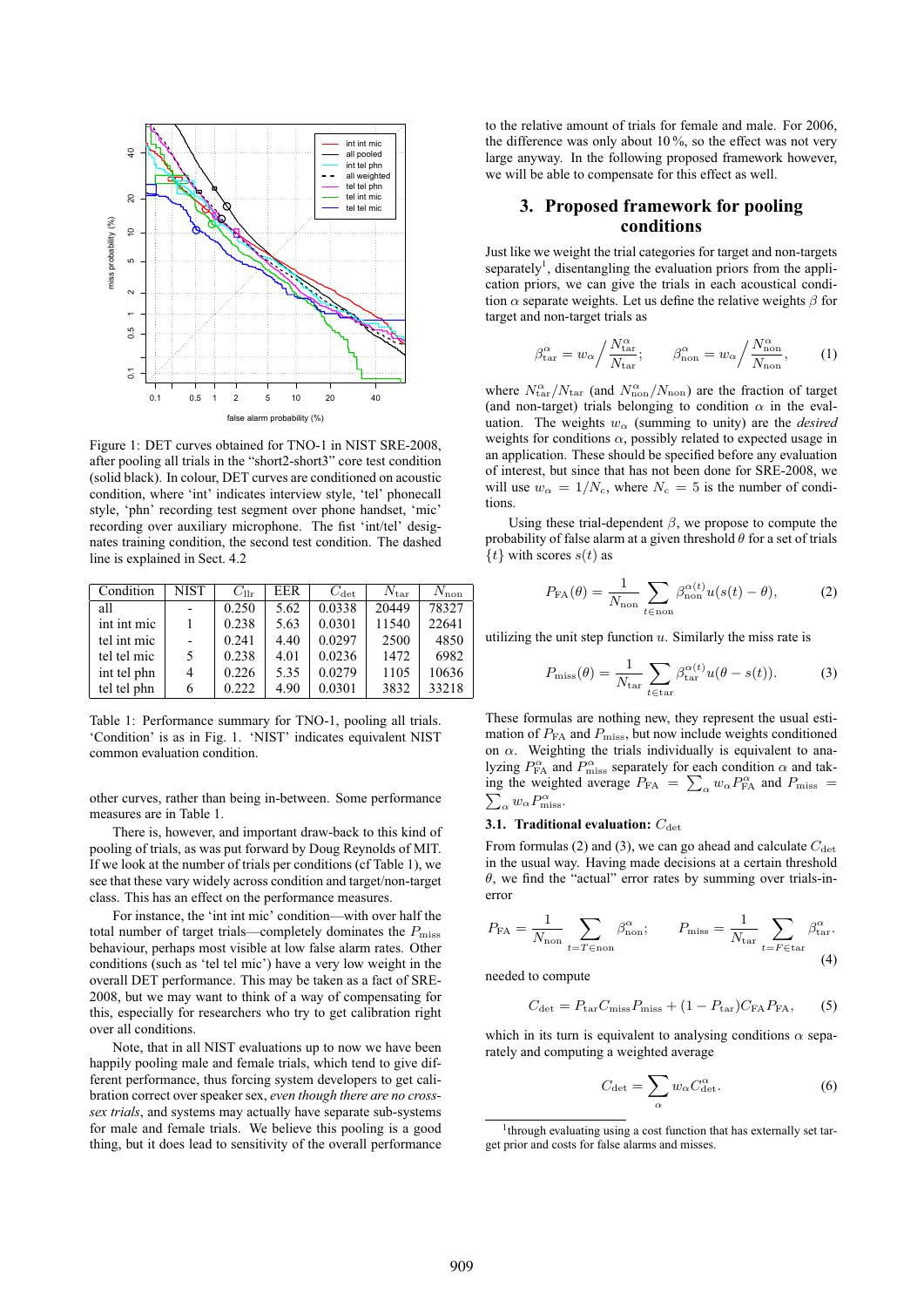

Figure 1: DET curves obtained for TNO-1 in NIST SRE-2008, after pooling all trials in the "short2-short3" core test condition (solid black). In colour, DET curves are conditioned on acoustic condition, where 'int' indicates interview style, 'tel' phonecall style, 'phn' recording test segment over phone handset, 'mic' recording over auxiliary microphone. The fist 'int/tel' designates training condition, the second test condition. The dashed line is explained in Sect. 4.2

| Condition   | <b>NIST</b> | $C_{\text{llr}}$ | EER. | $C_{\rm det}$ | $N_{\rm tar}$ | $N_{\rm non}$ |
|-------------|-------------|------------------|------|---------------|---------------|---------------|
| all         |             | 0.250            | 5.62 | 0.0338        | 20449         | 78327         |
| int int mic |             | 0.238            | 5.63 | 0.0301        | 11540         | 22641         |
| tel int mic |             | 0.241            | 4.40 | 0.0297        | 2500          | 4850          |
| tel tel mic | 5.          | 0.238            | 4.01 | 0.0236        | 1472          | 6982          |
| int tel phn | 4           | 0.226            | 5.35 | 0.0279        | 1105          | 10636         |
| tel tel phn | 6           | 0.222            | 4.90 | 0.0301        | 3832          | 33218         |

Table 1: Performance summary for TNO-1, pooling all trials. 'Condition' is as in Fig. 1. 'NIST' indicates equivalent NIST common evaluation condition.

other curves, rather than being in-between. Some performance measures are in Table 1.

There is, however, and important draw-back to this kind of pooling of trials, as was put forward by Doug Reynolds of MIT. If we look at the number of trials per conditions (cf Table 1), we see that these vary widely across condition and target/non-target class. This has an effect on the performance measures.

For instance, the 'int int mic' condition—with over half the total number of target trials—completely dominates the  $P_{\text{miss}}$ behaviour, perhaps most visible at low false alarm rates. Other conditions (such as 'tel tel mic') have a very low weight in the overall DET performance. This may be taken as a fact of SRE-2008, but we may want to think of a way of compensating for this, especially for researchers who try to get calibration right over all conditions.

Note, that in all NIST evaluations up to now we have been happily pooling male and female trials, which tend to give different performance, thus forcing system developers to get calibration correct over speaker sex, *even though there are no crosssex trials*, and systems may actually have separate sub-systems for male and female trials. We believe this pooling is a good thing, but it does lead to sensitivity of the overall performance to the relative amount of trials for female and male. For 2006, the difference was only about 10 %, so the effect was not very large anyway. In the following proposed framework however, we will be able to compensate for this effect as well.

# **3. Proposed framework for pooling conditions**

Just like we weight the trial categories for target and non-targets separately<sup>1</sup>, disentangling the evaluation priors from the application priors, we can give the trials in each acoustical condition  $\alpha$  separate weights. Let us define the relative weights  $\beta$  for target and non-target trials as

$$
\beta_{\text{tar}}^{\alpha} = w_{\alpha} / \frac{N_{\text{tar}}^{\alpha}}{N_{\text{tar}}}; \qquad \beta_{\text{non}}^{\alpha} = w_{\alpha} / \frac{N_{\text{non}}^{\alpha}}{N_{\text{non}}}, \qquad (1)
$$

where  $N_{\text{tar}}^{\alpha}/N_{\text{tar}}$  (and  $N_{\text{non}}^{\alpha}/N_{\text{non}}$ ) are the fraction of target (and non-target) trials belonging to condition  $\alpha$  in the evaluation. The weights  $w_0$  (summing to unity) are the *desired* weights for conditions  $\alpha$ , possibly related to expected usage in an application. These should be specified before any evaluation of interest, but since that has not been done for SRE-2008, we will use  $w_{\alpha} = 1/N_c$ , where  $N_c = 5$  is the number of conditions.

Using these trial-dependent  $\beta$ , we propose to compute the probability of false alarm at a given threshold  $\theta$  for a set of trials  $\{t\}$  with scores  $s(t)$  as

$$
P_{\text{FA}}(\theta) = \frac{1}{N_{\text{non}}} \sum_{t \in \text{non}} \beta_{\text{non}}^{\alpha(t)} u(s(t) - \theta), \tag{2}
$$

utilizing the unit step function  $u$ . Similarly the miss rate is

$$
P_{\text{miss}}(\theta) = \frac{1}{N_{\text{tar}}} \sum_{t \in \text{tar}} \beta_{\text{tar}}^{\alpha(t)} u(\theta - s(t)). \tag{3}
$$

These formulas are nothing new, they represent the usual estimation of  $P_{FA}$  and  $P_{miss}$ , but now include weights conditioned on  $\alpha$ . Weighting the trials individually is equivalent to analyzing  $P_{FA}^{\alpha}$  and  $P_{miss}^{\alpha}$  separately for each condition  $\alpha$  and taking the weighted average  $P_{FA} = \sum_{\alpha} w_{\alpha} P_{FA}^{\alpha}$  and  $P_{miss} = \sum_{\alpha} w_{\alpha} P_{miss}^{\alpha}$ .  $\alpha w_{\alpha} P^{\alpha}_{\text{miss}}.$ 

# **3.1. Traditional evaluation:**  $C_{\text{det}}$

From formulas (2) and (3), we can go ahead and calculate  $C_{\text{det}}$ in the usual way. Having made decisions at a certain threshold  $\theta$ , we find the "actual" error rates by summing over trials-inerror

$$
P_{\text{FA}} = \frac{1}{N_{\text{non}}} \sum_{t = T \in \text{non}} \beta_{\text{non}}^{\alpha}; \qquad P_{\text{miss}} = \frac{1}{N_{\text{tar}}} \sum_{t = F \in \text{tar}} \beta_{\text{tar}}^{\alpha}.
$$
\n(4)

needed to compute

$$
C_{\rm det} = P_{\rm tar} C_{\rm miss} P_{\rm miss} + (1 - P_{\rm tar}) C_{\rm FA} P_{\rm FA},\qquad(5)
$$

which in its turn is equivalent to analysing conditions  $\alpha$  separately and computing a weighted average

$$
C_{\det} = \sum_{\alpha} w_{\alpha} C_{\det}^{\alpha}.
$$
 (6)

<sup>&</sup>lt;sup>1</sup>through evaluating using a cost function that has externally set target prior and costs for false alarms and misses.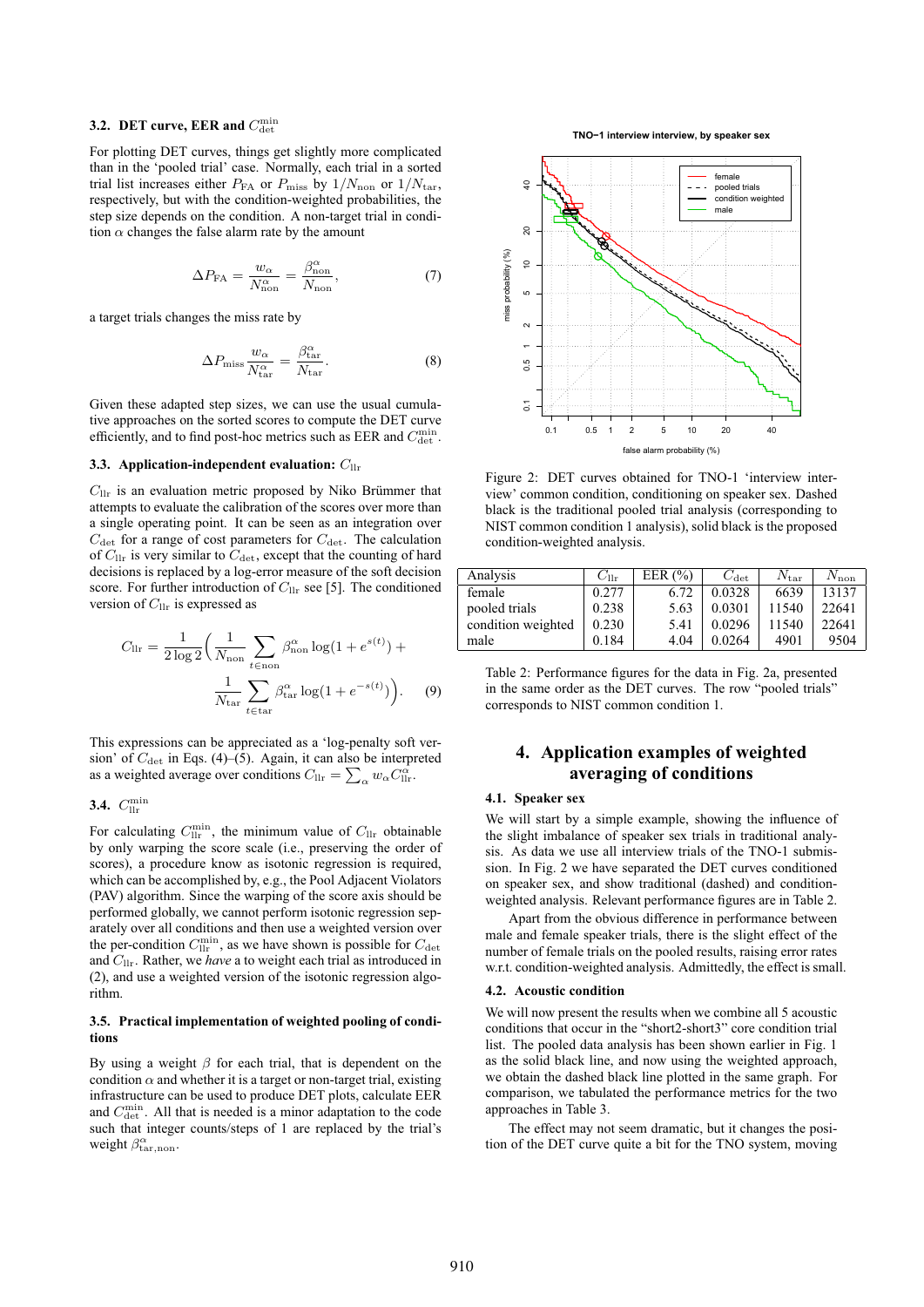# **3.2. DET curve, EER and**  $C_{\text{det}}^{\text{min}}$

For plotting DET curves, things get slightly more complicated than in the 'pooled trial' case. Normally, each trial in a sorted trial list increases either  $P_{FA}$  or  $P_{miss}$  by  $1/N_{non}$  or  $1/N_{\text{tar}}$ , respectively, but with the condition-weighted probabilities, the step size depends on the condition. A non-target trial in condition  $\alpha$  changes the false alarm rate by the amount

$$
\Delta P_{\text{FA}} = \frac{w_{\alpha}}{N_{\text{non}}^{\alpha}} = \frac{\beta_{\text{non}}^{\alpha}}{N_{\text{non}}},\tag{7}
$$

a target trials changes the miss rate by

$$
\Delta P_{\rm miss} \frac{w_{\alpha}}{N_{\rm tar}^{\alpha}} = \frac{\beta_{\rm tar}^{\alpha}}{N_{\rm tar}}.
$$
\n(8)

Given these adapted step sizes, we can use the usual cumulative approaches on the sorted scores to compute the DET curve efficiently, and to find post-hoc metrics such as EER and  $C_{\text{det}}^{\min}$ .

#### **3.3. Application-independent evaluation:**  $C_{\text{llr}}$

 $C_{\text{llr}}$  is an evaluation metric proposed by Niko Brümmer that attempts to evaluate the calibration of the scores over more than a single operating point. It can be seen as an integration over  $C_{\text{det}}$  for a range of cost parameters for  $C_{\text{det}}$ . The calculation of  $C_{\text{llr}}$  is very similar to  $C_{\text{det}}$ , except that the counting of hard decisions is replaced by a log-error measure of the soft decision score. For further introduction of  $C_{\text{llr}}$  see [5]. The conditioned version of  $C_{\text{llr}}$  is expressed as

$$
C_{\text{llr}} = \frac{1}{2\log 2} \left( \frac{1}{N_{\text{non}}} \sum_{t \in \text{non}} \beta_{\text{non}}^{\alpha} \log(1 + e^{s(t)}) + \frac{1}{N_{\text{tar}}} \sum_{t \in \text{tar}} \beta_{\text{tar}}^{\alpha} \log(1 + e^{-s(t)}) \right). \tag{9}
$$

This expressions can be appreciated as a 'log-penalty soft version' of  $C_{\text{det}}$  in Eqs. (4)–(5). Again, it can also be interpreted as a weighted average over conditions  $C_{\text{llr}} = \sum_{\alpha} w_{\alpha} C_{\text{llr}}^{\alpha}$ .

# **3.4.**  $C_{\text{llr}}^{\text{min}}$

For calculating  $C_{\text{llr}}^{\text{min}}$ , the minimum value of  $C_{\text{llr}}$  obtainable by only warping the score scale (i.e., preserving the order of scores), a procedure know as isotonic regression is required, which can be accomplished by, e.g., the Pool Adjacent Violators (PAV) algorithm. Since the warping of the score axis should be performed globally, we cannot perform isotonic regression separately over all conditions and then use a weighted version over the per-condition  $C_{\text{llr}}^{\text{min}}$ , as we have shown is possible for  $C_{\text{det}}$ and Cllr. Rather, we *have* a to weight each trial as introduced in (2), and use a weighted version of the isotonic regression algorithm.

#### **3.5. Practical implementation of weighted pooling of conditions**

By using a weight  $\beta$  for each trial, that is dependent on the condition  $\alpha$  and whether it is a target or non-target trial, existing infrastructure can be used to produce DET plots, calculate EER and  $C_{\text{det}}^{\min}$ . All that is needed is a minor adaptation to the code such that integer counts/steps of 1 are replaced by the trial's weight  $\beta_{\text{tar},\text{non}}^{\alpha}$ .

**TNO−1 interview interview, by speaker sex**



Figure 2: DET curves obtained for TNO-1 'interview interview' common condition, conditioning on speaker sex. Dashed black is the traditional pooled trial analysis (corresponding to NIST common condition 1 analysis), solid black is the proposed condition-weighted analysis.

| Analysis           | $U_{\rm llr}$ | EER $(\% )$ | $C_{\rm det}$ | $N_{\rm tar}$ | $N_{\rm non}$ |
|--------------------|---------------|-------------|---------------|---------------|---------------|
| female             | 0.277         | 6.72        | 0.0328        | 6639          | 13137         |
| pooled trials      | 0.238         | 5.63        | 0.0301        | 11540         | 22641         |
| condition weighted | 0.230         | 5.41        | 0.0296        | 11540         | 22641         |
| male               | 0.184         | 4.04        | 0.0264        | 4901          | 9504          |

Table 2: Performance figures for the data in Fig. 2a, presented in the same order as the DET curves. The row "pooled trials" corresponds to NIST common condition 1.

### **4. Application examples of weighted averaging of conditions**

#### **4.1. Speaker sex**

We will start by a simple example, showing the influence of the slight imbalance of speaker sex trials in traditional analysis. As data we use all interview trials of the TNO-1 submission. In Fig. 2 we have separated the DET curves conditioned on speaker sex, and show traditional (dashed) and conditionweighted analysis. Relevant performance figures are in Table 2.

Apart from the obvious difference in performance between male and female speaker trials, there is the slight effect of the number of female trials on the pooled results, raising error rates w.r.t. condition-weighted analysis. Admittedly, the effect is small.

#### **4.2. Acoustic condition**

We will now present the results when we combine all 5 acoustic conditions that occur in the "short2-short3" core condition trial list. The pooled data analysis has been shown earlier in Fig. 1 as the solid black line, and now using the weighted approach, we obtain the dashed black line plotted in the same graph. For comparison, we tabulated the performance metrics for the two approaches in Table 3.

The effect may not seem dramatic, but it changes the position of the DET curve quite a bit for the TNO system, moving